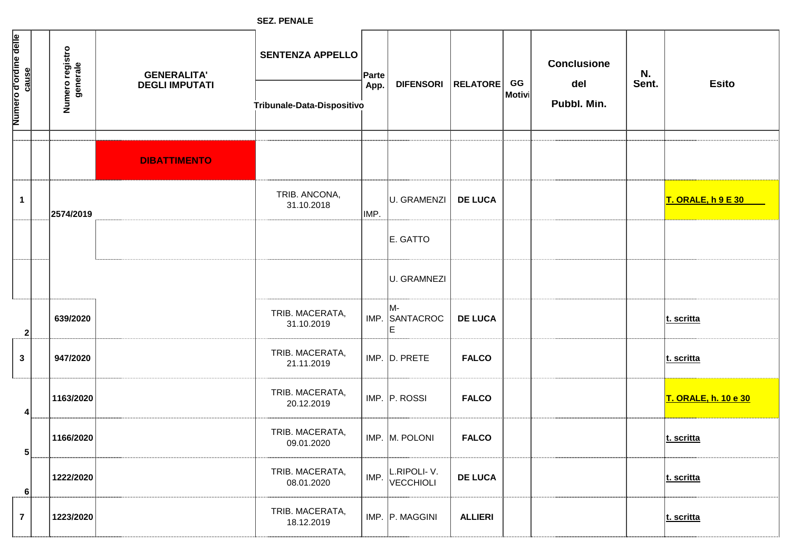**SEZ. PENALE**

| Numero d'ordine delle<br>cause |   | Numero registro<br>generale | <b>GENERALITA'</b><br><b>DEGLI IMPUTATI</b> | <b>SENTENZA APPELLO</b><br>Tribunale-Data-Dispositivo | Parte<br>App. | <b>DIFENSORI</b>                | <b>RELATORE</b> | GG<br>Motivi | <b>Conclusione</b><br>del<br>Pubbl. Min. | N.<br>Sent. | <b>Esito</b>                |
|--------------------------------|---|-----------------------------|---------------------------------------------|-------------------------------------------------------|---------------|---------------------------------|-----------------|--------------|------------------------------------------|-------------|-----------------------------|
|                                |   |                             | <b>DIBATTIMENTO</b>                         |                                                       |               |                                 |                 |              |                                          |             |                             |
| $\mathbf{1}$                   |   | 2574/2019                   |                                             | TRIB. ANCONA,<br>31.10.2018                           | IMP.          | U. GRAMENZI                     | <b>DE LUCA</b>  |              |                                          |             | <b>T. ORALE, h 9 E 30</b>   |
|                                |   |                             |                                             |                                                       |               | E. GATTO                        |                 |              |                                          |             |                             |
|                                |   |                             |                                             |                                                       |               | U. GRAMNEZI                     |                 |              |                                          |             |                             |
|                                | 2 | 639/2020                    |                                             | TRIB. MACERATA,<br>31.10.2019                         |               | MM-<br>IMP. SANTACROC<br>Е      | <b>DE LUCA</b>  |              |                                          |             | t. scritta                  |
| $\mathbf{3}$                   |   | 947/2020                    |                                             | TRIB. MACERATA,<br>21.11.2019                         |               | IMP. D. PRETE                   | <b>FALCO</b>    |              |                                          |             | t. scritta                  |
|                                |   | 1163/2020                   |                                             | TRIB. MACERATA,<br>20.12.2019                         |               | IMP. P. ROSSI                   | <b>FALCO</b>    |              |                                          |             | <b>T. ORALE, h. 10 e 30</b> |
|                                | 5 | 1166/2020                   |                                             | TRIB. MACERATA,<br>09.01.2020                         |               | IMP. M. POLONI                  | <b>FALCO</b>    |              |                                          |             | t. scritta                  |
| 6                              |   | 1222/2020                   |                                             | TRIB. MACERATA,<br>08.01.2020                         | IMP.          | L.RIPOLI-V.<br><b>VECCHIOLI</b> | <b>DE LUCA</b>  |              |                                          |             | t. scritta                  |
| $\overline{7}$                 |   | 1223/2020                   |                                             | TRIB. MACERATA,<br>18.12.2019                         |               | IMP. P. MAGGINI                 | <b>ALLIERI</b>  |              |                                          |             | t. scritta                  |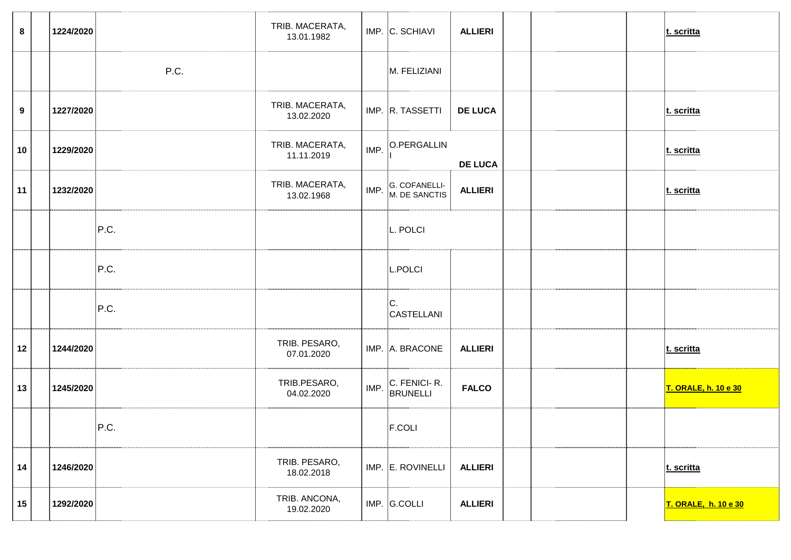| 8  | 1224/2020 |      | TRIB. MACERATA,<br>13.01.1982 |      | IMP. C. SCHIAVI                | <b>ALLIERI</b> |  | t. scritta                  |
|----|-----------|------|-------------------------------|------|--------------------------------|----------------|--|-----------------------------|
|    |           | P.C. |                               |      | M. FELIZIANI                   |                |  |                             |
| 9  | 1227/2020 |      | TRIB. MACERATA,<br>13.02.2020 |      | IMP. R. TASSETTI               | <b>DE LUCA</b> |  | t. scritta                  |
| 10 | 1229/2020 |      | TRIB. MACERATA,<br>11.11.2019 | IMP. | O.PERGALLIN                    | <b>DE LUCA</b> |  | t. scritta                  |
| 11 | 1232/2020 |      | TRIB. MACERATA,<br>13.02.1968 | IMP. | G. COFANELLI-<br>M. DE SANCTIS | <b>ALLIERI</b> |  | t. scritta                  |
|    |           | P.C. |                               |      | L. POLCI                       |                |  |                             |
|    |           | P.C. |                               |      | L.POLCI                        |                |  |                             |
|    |           | P.C. |                               |      | C.<br><b>CASTELLANI</b>        |                |  |                             |
| 12 | 1244/2020 |      | TRIB. PESARO,<br>07.01.2020   |      | IMP. A. BRACONE                | <b>ALLIERI</b> |  | t. scritta                  |
| 13 | 1245/2020 |      | TRIB.PESARO,<br>04.02.2020    | IMP. | C. FENICI- R.<br>BRUNELLI      | <b>FALCO</b>   |  | <b>T. ORALE, h. 10 e 30</b> |
|    |           | P.C. |                               |      | F.COLI                         |                |  |                             |
| 14 | 1246/2020 |      | TRIB. PESARO,<br>18.02.2018   |      | IMP. E. ROVINELLI              | <b>ALLIERI</b> |  | t. scritta                  |
| 15 | 1292/2020 |      | TRIB. ANCONA,<br>19.02.2020   |      | IMP. G.COLLI                   | <b>ALLIERI</b> |  | <b>T. ORALE, h. 10 e 30</b> |